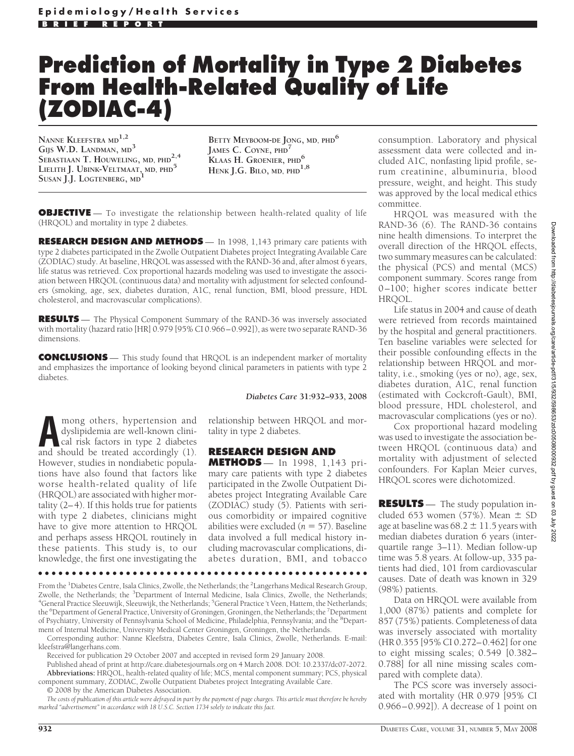## **Prediction of Mortality in Type 2 Diabetes From Health-Related Quality of Life (ZODIAC-4)**

**NANNE KLEEFSTRA MD1,2 GIJS W.D. LANDMAN, MD<sup>3</sup> SEBASTIAAN T. HOUWELING, MD, PHD2,4 LIELITH J. UBINK-VELTMAAT, MD, PHD<sup>5</sup> SUSAN J.J. LOGTENBERG, MD<sup>1</sup>**

**BETTY MEYBOOM-DE JONG, MD, PHD6 JAMES C. COYNE, PHD<sup>7</sup> KLAAS H. GROENIER, PHD<sup>6</sup> HENK J.G. BILO, MD, PHD1,8**

**OBJECTIVE** — To investigate the relationship between health-related quality of life (HRQOL) and mortality in type 2 diabetes.

**RESEARCH DESIGN AND METHODS** — In 1998, 1,143 primary care patients with type 2 diabetes participated in the Zwolle Outpatient Diabetes project Integrating Available Care (ZODIAC) study. At baseline, HRQOL was assessed with the RAND-36 and, after almost 6 years, life status was retrieved. Cox proportional hazards modeling was used to investigate the association between HRQOL (continuous data) and mortality with adjustment for selected confounders (smoking, age, sex, diabetes duration, A1C, renal function, BMI, blood pressure, HDL cholesterol, and macrovascular complications).

**RESULTS** — The Physical Component Summary of the RAND-36 was inversely associated with mortality (hazard ratio [HR] 0.979 [95% CI 0.966–0.992]), as were two separate RAND-36 dimensions.

**CONCLUSIONS** — This study found that HRQOL is an independent marker of mortality and emphasizes the importance of looking beyond clinical parameters in patients with type 2 diabetes.

**A** mong others, hypertension and dyslipidemia are well-known clinical risk factors in type 2 diabetes and should be treated accordingly (1) dyslipidemia are well-known clinical risk factors in type 2 diabetes and should be treated accordingly (1). However, studies in nondiabetic populations have also found that factors like worse health-related quality of life (HRQOL) are associated with higher mortality (2–4). If this holds true for patients with type 2 diabetes, clinicians might have to give more attention to HRQOL and perhaps assess HRQOL routinely in these patients. This study is, to our knowledge, the first one investigating the

*Diabetes Care* **31:932–933, 2008**

relationship between HRQOL and mortality in type 2 diabetes.

## **RESEARCH DESIGN AND**

**METHODS** — In 1998, 1,143 primary care patients with type 2 diabetes participated in the Zwolle Outpatient Diabetes project Integrating Available Care (ZODIAC) study (5). Patients with serious comorbidity or impaired cognitive abilities were excluded  $(n = 57)$ . Baseline data involved a full medical history including macrovascular complications, diabetes duration, BMI, and tobacco

●●●●●●●●●●●●●●●●●●●●●●●●●●●●●●●●●●●●●●●●●●●●●●●●●

From the <sup>1</sup>Diabetes Centre, Isala Clinics, Zwolle, the Netherlands; the <sup>2</sup>Langerhans Medical Research Group, Zwolle, the Netherlands; the <sup>3</sup>Department of Internal Medicine, Isala Clinics, Zwolle, the Netherlands;<br><sup>4</sup>General Practice Sleeuwijk, Sleeuwijk, the Netherlands; <sup>5</sup>General Practice it Veen, Hattem, the Netherlands; General Practice Sleeuwijk, Sleeuwijk, the Netherlands; <sup>5</sup>General Practice 't Veen, Hattem, the Netherlands; the <sup>6</sup>Department of General Practice, University of Groningen, Groningen, the Netherlands; the <sup>7</sup>Department of Psychiatry, University of Pennsylvania School of Medicine, Philadelphia, Pennsylvania; and the <sup>8</sup>Department of Internal Medicine, University Medical Center Groningen, Groningen, the Netherlands.

Corresponding author: Nanne Kleefstra, Diabetes Centre, Isala Clinics, Zwolle, Netherlands. E-mail: kleefstra@langerhans.com.

Received for publication 29 October 2007 and accepted in revised form 29 January 2008.

Published ahead of print at http://care.diabetesjournals.org on 4 March 2008. DOI: 10.2337/dc07-2072. **Abbreviations:** HRQOL, health-related quality of life; MCS, mental component summary; PCS, physical component summary, ZODIAC, Zwolle Outpatient Diabetes project Integrating Available Care.

© 2008 by the American Diabetes Association.

*The costs of publication of this article were defrayed in part by the payment of page charges. This article must therefore be hereby marked "advertisement" in accordance with 18 U.S.C. Section 1734 solely to indicate this fact.*

consumption. Laboratory and physical assessment data were collected and included A1C, nonfasting lipid profile, serum creatinine, albuminuria, blood pressure, weight, and height. This study was approved by the local medical ethics committee.

HRQOL was measured with the RAND-36 (6). The RAND-36 contains nine health dimensions. To interpret the overall direction of the HRQOL effects, two summary measures can be calculated: the physical (PCS) and mental (MCS) component summary. Scores range from 0–100; higher scores indicate better HRQOL.

Life status in 2004 and cause of death were retrieved from records maintained by the hospital and general practitioners. Ten baseline variables were selected for their possible confounding effects in the relationship between HRQOL and mortality, i.e., smoking (yes or no), age, sex, diabetes duration, A1C, renal function (estimated with Cockcroft-Gault), BMI, blood pressure, HDL cholesterol, and macrovascular complications (yes or no).

Cox proportional hazard modeling was used to investigate the association between HRQOL (continuous data) and mortality with adjustment of selected confounders. For Kaplan Meier curves, HRQOL scores were dichotomized.

**RESULTS** — The study population included 653 women (57%). Mean  $\pm$  SD age at baseline was 68.2  $\pm$  11.5 years with median diabetes duration 6 years (interquartile range 3–11). Median follow-up time was 5.8 years. At follow-up, 335 patients had died, 101 from cardiovascular causes. Date of death was known in 329 (98%) patients.

Data on HRQOL were available from 1,000 (87%) patients and complete for 857 (75%) patients. Completeness of data was inversely associated with mortality (HR 0.355 [95% CI 0.272–0.462] for one to eight missing scales; 0.549 [0.382– 0.788] for all nine missing scales compared with complete data).

The PCS score was inversely associated with mortality (HR 0.979 [95% CI 0.966–0.992]). A decrease of 1 point on